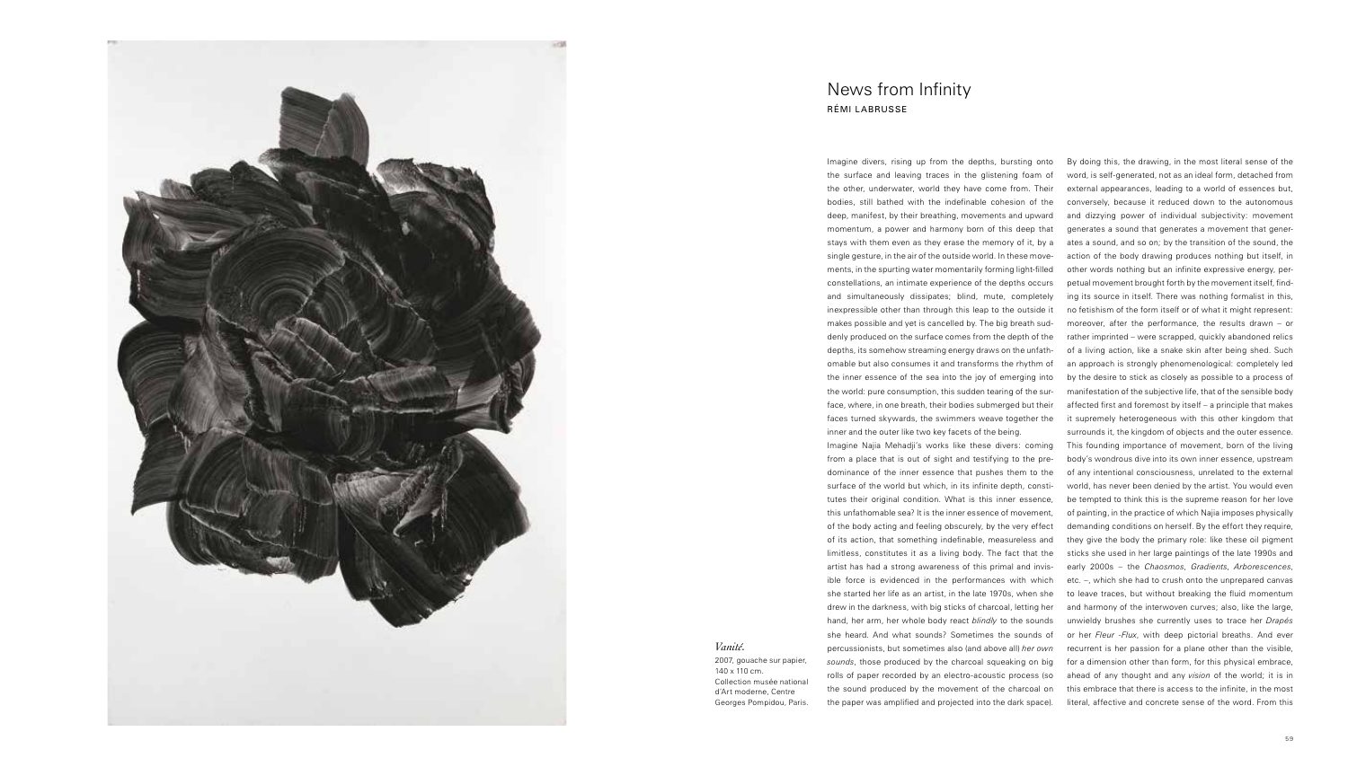## *Vanité.*

2007, gouache sur papier, 140 x 110 cm. Collection musée national d'Art moderne, Centre Georges Pompidou, Paris. Imagine divers, rising up from the depths, bursting onto the surface and leaving traces in the glistening foam of the other, underwater, world they have come from. Their bodies, still bathed with the indefinable cohesion of the deep, manifest, by their breathing, movements and upward momentum, a power and harmony born of this deep that stays with them even as they erase the memory of it, by a single gesture, in the air of the outside world. In these movements, in the spurting water momentarily forming light-filled constellations, an intimate experience of the depths occurs and simultaneously dissipates; blind, mute, completely inexpressible other than through this leap to the outside it makes possible and yet is cancelled by. The big breath suddenly produced on the surface comes from the depth of the depths, its somehow streaming energy draws on the unfathomable but also consumes it and transforms the rhythm of the inner essence of the sea into the joy of emerging into the world: pure consumption, this sudden tearing of the surface, where, in one breath, their bodies submerged but their faces turned skywards, the swimmers weave together the inner and the outer like two key facets of the being.

Imagine Najia Mehadji's works like these divers: coming from a place that is out of sight and testifying to the predominance of the inner essence that pushes them to the surface of the world but which, in its infinite depth, constitutes their original condition. What is this inner essence, this unfathomable sea? It is the inner essence of movement, of the body acting and feeling obscurely, by the very effect of its action, that something indefinable, measureless and limitless, constitutes it as a living body. The fact that the artist has had a strong awareness of this primal and invisible force is evidenced in the performances with which she started her life as an artist, in the late 1970s, when she drew in the darkness, with big sticks of charcoal, letting her hand, her arm, her whole body react *blindly* to the sounds she heard. And what sounds? Sometimes the sounds of percussionists, but sometimes also (and above all) *her own sounds*, those produced by the charcoal squeaking on big rolls of paper recorded by an electro-acoustic process (so the sound produced by the movement of the charcoal on the paper was amplified and projected into the dark space).

By doing this, the drawing, in the most literal sense of the word, is self-generated, not as an ideal form, detached from external appearances, leading to a world of essences but, conversely, because it reduced down to the autonomous and dizzying power of individual subjectivity: movement generates a sound that generates a movement that generates a sound, and so on; by the transition of the sound, the action of the body drawing produces nothing but itself, in other words nothing but an infinite expressive energy, perpetual movement brought forth by the movement itself, finding its source in itself. There was nothing formalist in this, no fetishism of the form itself or of what it might represent: moreover, after the performance, the results drawn – or rather imprinted – were scrapped, quickly abandoned relics of a living action, like a snake skin after being shed. Such an approach is strongly phenomenological: completely led by the desire to stick as closely as possible to a process of manifestation of the subjective life, that of the sensible body affected first and foremost by itself – a principle that makes it supremely heterogeneous with this other kingdom that surrounds it, the kingdom of objects and the outer essence. This founding importance of movement, born of the living body's wondrous dive into its own inner essence, upstream of any intentional consciousness, unrelated to the external world, has never been denied by the artist. You would even be tempted to think this is the supreme reason for her love of painting, in the practice of which Najia imposes physically demanding conditions on herself. By the effort they require, they give the body the primary role: like these oil pigment sticks she used in her large paintings of the late 1990s and early 2000s – the *Chaosmos*, *Gradients*, *Arborescences*, etc. –, which she had to crush onto the unprepared canvas to leave traces, but without breaking the fluid momentum and harmony of the interwoven curves; also, like the large, unwieldy brushes she currently uses to trace her *Drapés* or her *Fleur -Flux*, with deep pictorial breaths. And ever recurrent is her passion for a plane other than the visible, for a dimension other than form, for this physical embrace, ahead of any thought and any *vision* of the world; it is in this embrace that there is access to the infinite, in the most literal, affective and concrete sense of the word. From this



## News from Infinity RÉMI LABRUSSE